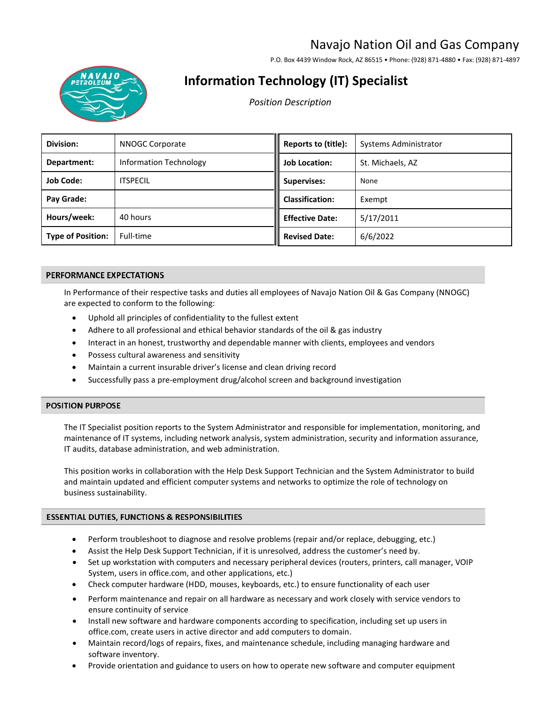# Navajo Nation Oil and Gas Company

P.O. Box 4439 Window Rock, AZ 86515 • Phone: (928) 871-4880 • Fax: (928) 871-4897



# **Information Technology (IT) Specialist**

*Position Description* 

| Division:                | <b>NNOGC Corporate</b>        | Reports to (title):    | Systems Administrator |
|--------------------------|-------------------------------|------------------------|-----------------------|
| Department:              | <b>Information Technology</b> | <b>Job Location:</b>   | St. Michaels, AZ      |
| <b>Job Code:</b>         | <b>ITSPECIL</b>               | <b>Supervises:</b>     | None                  |
| Pay Grade:               |                               | <b>Classification:</b> | Exempt                |
| Hours/week:              | 40 hours                      | <b>Effective Date:</b> | 5/17/2011             |
| <b>Type of Position:</b> | Full-time                     | <b>Revised Date:</b>   | 6/6/2022              |

# PERFORMANCE EXPECTATIONS

In Performance of their respective tasks and duties all employees of Navajo Nation Oil & Gas Company (NNOGC) are expected to conform to the following:

- Uphold all principles of confidentiality to the fullest extent
- Adhere to all professional and ethical behavior standards of the oil & gas industry
- Interact in an honest, trustworthy and dependable manner with clients, employees and vendors
- Possess cultural awareness and sensitivity
- Maintain a current insurable driver's license and clean driving record
- Successfully pass a pre-employment drug/alcohol screen and background investigation

# **POSITION PURPOSE**

The IT Specialist position reports to the System Administrator and responsible for implementation, monitoring, and maintenance of IT systems, including network analysis, system administration, security and information assurance, IT audits, database administration, and web administration.

This position works in collaboration with the Help Desk Support Technician and the System Administrator to build and maintain updated and efficient computer systems and networks to optimize the role of technology on business sustainability.

# **ESSENTIAL DUTIES, FUNCTIONS & RESPONSIBILITIES**

- Perform troubleshoot to diagnose and resolve problems (repair and/or replace, debugging, etc.)
- Assist the Help Desk Support Technician, if it is unresolved, address the customer's need by.
- Set up workstation with computers and necessary peripheral devices (routers, printers, call manager, VOIP System, users in office.com, and other applications, etc.)
- Check computer hardware (HDD, mouses, keyboards, etc.) to ensure functionality of each user
- Perform maintenance and repair on all hardware as necessary and work closely with service vendors to ensure continuity of service
- Install new software and hardware components according to specification, including set up users in office.com, create users in active director and add computers to domain.
- Maintain record/logs of repairs, fixes, and maintenance schedule, including managing hardware and software inventory.
- Provide orientation and guidance to users on how to operate new software and computer equipment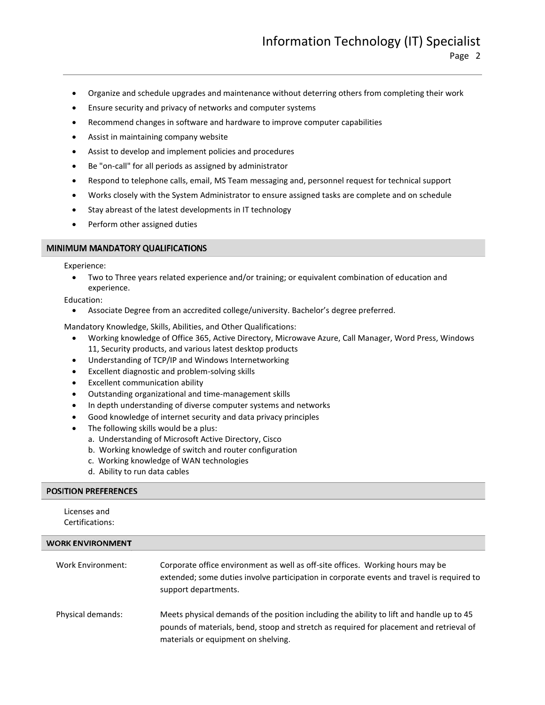- Organize and schedule upgrades and maintenance without deterring others from completing their work
- Ensure security and privacy of networks and computer systems
- Recommend changes in software and hardware to improve computer capabilities
- Assist in maintaining company website
- Assist to develop and implement policies and procedures
- Be "on-call" for all periods as assigned by administrator
- Respond to telephone calls, email, MS Team messaging and, personnel request for technical support
- Works closely with the System Administrator to ensure assigned tasks are complete and on schedule
- Stay abreast of the latest developments in IT technology
- Perform other assigned duties

### MINIMUM MANDATORY QUALIFICATIONS

Experience:

• Two to Three years related experience and/or training; or equivalent combination of education and experience.

Education:

• Associate Degree from an accredited college/university. Bachelor's degree preferred.

Mandatory Knowledge, Skills, Abilities, and Other Qualifications:

- Working knowledge of Office 365, Active Directory, Microwave Azure, Call Manager, Word Press, Windows 11, Security products, and various latest desktop products
- Understanding of TCP/IP and Windows Internetworking
- Excellent diagnostic and problem-solving skills
- Excellent communication ability
- Outstanding organizational and time-management skills
- In depth understanding of diverse computer systems and networks
- Good knowledge of internet security and data privacy principles
- The following skills would be a plus:
	- a. Understanding of Microsoft Active Directory, Cisco
	- b. Working knowledge of switch and router configuration
	- c. Working knowledge of WAN technologies
	- d. Ability to run data cables

### **POSITION PREFERENCES**

Licenses and Certifications:

#### **WORK ENVIRONMENT**

| Work Environment: | Corporate office environment as well as off-site offices. Working hours may be<br>extended; some duties involve participation in corporate events and travel is required to<br>support departments.                        |
|-------------------|----------------------------------------------------------------------------------------------------------------------------------------------------------------------------------------------------------------------------|
| Physical demands: | Meets physical demands of the position including the ability to lift and handle up to 45<br>pounds of materials, bend, stoop and stretch as required for placement and retrieval of<br>materials or equipment on shelving. |